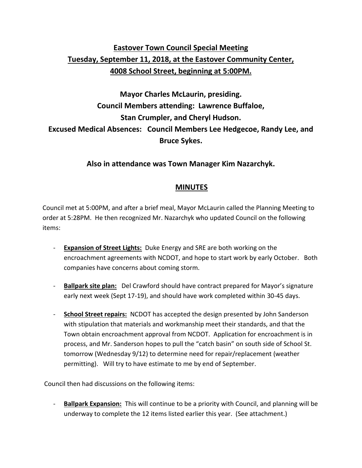## **Eastover Town Council Special Meeting Tuesday, September 11, 2018, at the Eastover Community Center, 4008 School Street, beginning at 5:00PM.**

## **Mayor Charles McLaurin, presiding. Council Members attending: Lawrence Buffaloe, Stan Crumpler, and Cheryl Hudson. Excused Medical Absences: Council Members Lee Hedgecoe, Randy Lee, and Bruce Sykes.**

**Also in attendance was Town Manager Kim Nazarchyk.**

## **MINUTES**

Council met at 5:00PM, and after a brief meal, Mayor McLaurin called the Planning Meeting to order at 5:28PM. He then recognized Mr. Nazarchyk who updated Council on the following items:

- **Expansion of Street Lights:** Duke Energy and SRE are both working on the encroachment agreements with NCDOT, and hope to start work by early October. Both companies have concerns about coming storm.
- **Ballpark site plan:** Del Crawford should have contract prepared for Mayor's signature early next week (Sept 17-19), and should have work completed within 30-45 days.
- **School Street repairs:** NCDOT has accepted the design presented by John Sanderson with stipulation that materials and workmanship meet their standards, and that the Town obtain encroachment approval from NCDOT. Application for encroachment is in process, and Mr. Sanderson hopes to pull the "catch basin" on south side of School St. tomorrow (Wednesday 9/12) to determine need for repair/replacement (weather permitting). Will try to have estimate to me by end of September.

Council then had discussions on the following items:

- **Ballpark Expansion:** This will continue to be a priority with Council, and planning will be underway to complete the 12 items listed earlier this year. (See attachment.)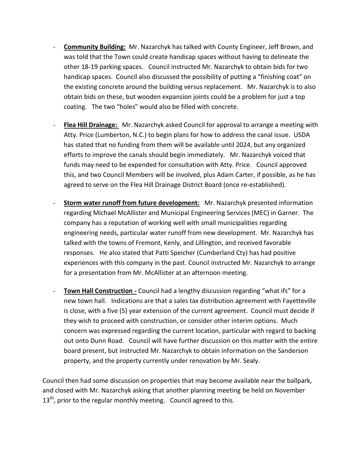- **Community Building:** Mr. Nazarchyk has talked with County Engineer, Jeff Brown, and was told that the Town could create handicap spaces without having to delineate the other 18-19 parking spaces. Council instructed Mr. Nazarchyk to obtain bids for two handicap spaces. Council also discussed the possibility of putting a "finishing coat" on the existing concrete around the building versus replacement. Mr. Nazarchyk is to also obtain bids on these, but wooden expansion joints could be a problem for just a top coating. The two "holes" would also be filled with concrete.
- **Flea Hill Drainage:** Mr. Nazarchyk asked Council for approval to arrange a meeting with Atty. Price (Lumberton, N.C.) to begin plans for how to address the canal issue. USDA has stated that no funding from them will be available until 2024, but any organized efforts to improve the canals should begin immediately. Mr. Nazarchyk voiced that funds may need to be expended for consultation with Atty. Price. Council approved this, and two Council Members will be involved, plus Adam Carter, if possible, as he has agreed to serve on the Flea Hill Drainage District Board (once re-established).
- **Storm water runoff from future development:** Mr. Nazarchyk presented information regarding Michael McAllister and Municipal Engineering Services (MEC) in Garner. The company has a reputation of working well with small municipalities regarding engineering needs, particular water runoff from new development. Mr. Nazarchyk has talked with the towns of Fremont, Kenly, and Lillington, and received favorable responses. He also stated that Patti Speicher (Cumberland Cty) has had positive experiences with this company in the past. Council instructed Mr. Nazarchyk to arrange for a presentation from Mr. McAllister at an afternoon meeting.
- **Town Hall Construction -** Council had a lengthy discussion regarding "what ifs" for a new town hall. Indications are that a sales tax distribution agreement with Fayetteville is close, with a five (5) year extension of the current agreement. Council must decide if they wish to proceed with construction, or consider other interim options. Much concern was expressed regarding the current location, particular with regard to backing out onto Dunn Road. Council will have further discussion on this matter with the entire board present, but instructed Mr. Nazarchyk to obtain information on the Sanderson property, and the property currently under renovation by Mr. Sealy.

Council then had some discussion on properties that may become available near the ballpark, and closed with Mr. Nazarchyk asking that another planning meeting be held on November  $13<sup>th</sup>$ , prior to the regular monthly meeting. Council agreed to this.